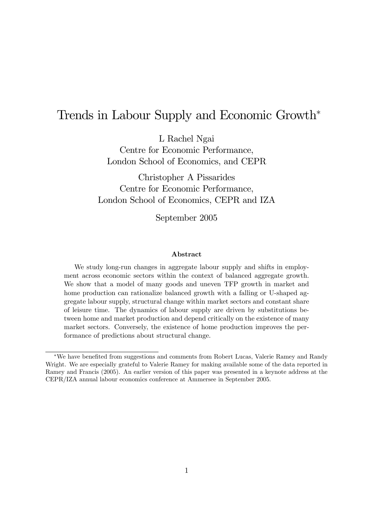## Trends in Labour Supply and Economic Growth<sup>∗</sup>

L Rachel Ngai

Centre for Economic Performance, London School of Economics, and CEPR

Christopher A Pissarides Centre for Economic Performance, London School of Economics, CEPR and IZA

September 2005

#### Abstract

We study long-run changes in aggregate labour supply and shifts in employment across economic sectors within the context of balanced aggregate growth. We show that a model of many goods and uneven TFP growth in market and home production can rationalize balanced growth with a falling or U-shaped aggregate labour supply, structural change within market sectors and constant share of leisure time. The dynamics of labour supply are driven by substitutions between home and market production and depend critically on the existence of many market sectors. Conversely, the existence of home production improves the performance of predictions about structural change.

<sup>∗</sup>We have benefited from suggestions and comments from Robert Lucas, Valerie Ramey and Randy Wright. We are especially grateful to Valerie Ramey for making available some of the data reported in Ramey and Francis (2005). An earlier version of this paper was presented in a keynote address at the CEPR/IZA annual labour economics conference at Ammersee in September 2005.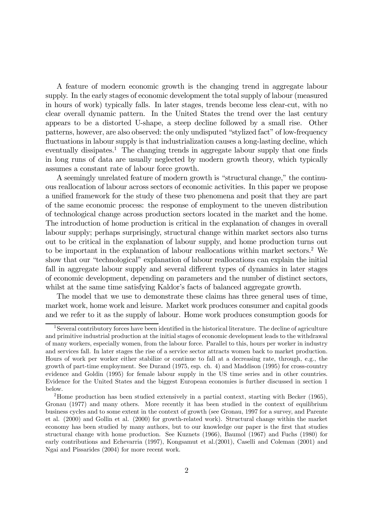A feature of modern economic growth is the changing trend in aggregate labour supply. In the early stages of economic development the total supply of labour (measured in hours of work) typically falls. In later stages, trends become less clear-cut, with no clear overall dynamic pattern. In the United States the trend over the last century appears to be a distorted U-shape, a steep decline followed by a small rise. Other patterns, however, are also observed: the only undisputed "stylized fact" of low-frequency fluctuations in labour supply is that industrialization causes a long-lasting decline, which eventually dissipates.<sup>1</sup> The changing trends in aggregate labour supply that one finds in long runs of data are usually neglected by modern growth theory, which typically assumes a constant rate of labour force growth.

A seemingly unrelated feature of modern growth is "structural change," the continuous reallocation of labour across sectors of economic activities. In this paper we propose a unified framework for the study of these two phenomena and posit that they are part of the same economic process: the response of employment to the uneven distribution of technological change across production sectors located in the market and the home. The introduction of home production is critical in the explanation of changes in overall labour supply; perhaps surprisingly, structural change within market sectors also turns out to be critical in the explanation of labour supply, and home production turns out to be important in the explanation of labour reallocations within market sectors.2 We show that our "technological" explanation of labour reallocations can explain the initial fall in aggregate labour supply and several different types of dynamics in later stages of economic development, depending on parameters and the number of distinct sectors, whilst at the same time satisfying Kaldor's facts of balanced aggregate growth.

The model that we use to demonstrate these claims has three general uses of time, market work, home work and leisure. Market work produces consumer and capital goods and we refer to it as the supply of labour. Home work produces consumption goods for

<sup>&</sup>lt;sup>1</sup>Several contributory forces have been identified in the historical literature. The decline of agriculture and primitive industrial production at the initial stages of economic development leads to the withdrawal of many workers, especially women, from the labour force. Parallel to this, hours per worker in industry and services fall. In later stages the rise of a service sector attracts women back to market production. Hours of work per worker either stabilize or continue to fall at a decreasing rate, through, e.g., the growth of part-time employment. See Durand (1975, esp. ch. 4) and Maddison (1995) for cross-country evidence and Goldin (1995) for female labour supply in the US time series and in other countries. Evidence for the United States and the biggest European economies is further discussed in section 1 below.

<sup>&</sup>lt;sup>2</sup>Home production has been studied extensively in a partial context, starting with Becker  $(1965)$ , Gronau (1977) and many others. More recently it has been studied in the context of equilibrium business cycles and to some extent in the context of growth (see Gronau, 1997 for a survey, and Parente et al. (2000) and Gollin et al. (2000) for growth-related work). Structural change within the market economy has been studied by many authors, but to our knowledge our paper is the first that studies structural change with home production. See Kuznets (1966), Baumol (1967) and Fuchs (1980) for early contributions and Echevarria (1997), Kongsamut et al.(2001), Caselli and Coleman (2001) and Ngai and Pissarides (2004) for more recent work.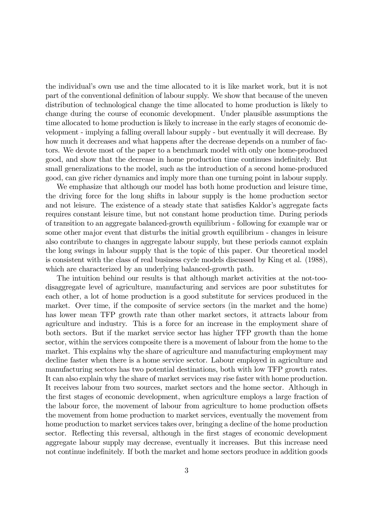the individual's own use and the time allocated to it is like market work, but it is not part of the conventional definition of labour supply. We show that because of the uneven distribution of technological change the time allocated to home production is likely to change during the course of economic development. Under plausible assumptions the time allocated to home production is likely to increase in the early stages of economic development - implying a falling overall labour supply - but eventually it will decrease. By how much it decreases and what happens after the decrease depends on a number of factors. We devote most of the paper to a benchmark model with only one home-produced good, and show that the decrease in home production time continues indefinitely. But small generalizations to the model, such as the introduction of a second home-produced good, can give richer dynamics and imply more than one turning point in labour supply.

We emphasize that although our model has both home production and leisure time, the driving force for the long shifts in labour supply is the home production sector and not leisure. The existence of a steady state that satisfies Kaldor's aggregate facts requires constant leisure time, but not constant home production time. During periods of transition to an aggregate balanced-growth equilibrium - following for example war or some other major event that disturbs the initial growth equilibrium - changes in leisure also contribute to changes in aggregate labour supply, but these periods cannot explain the long swings in labour supply that is the topic of this paper. Our theoretical model is consistent with the class of real business cycle models discussed by King et al. (1988), which are characterized by an underlying balanced-growth path.

The intuition behind our results is that although market activities at the not-toodisaggregate level of agriculture, manufacturing and services are poor substitutes for each other, a lot of home production is a good substitute for services produced in the market. Over time, if the composite of service sectors (in the market and the home) has lower mean TFP growth rate than other market sectors, it attracts labour from agriculture and industry. This is a force for an increase in the employment share of both sectors. But if the market service sector has higher TFP growth than the home sector, within the services composite there is a movement of labour from the home to the market. This explains why the share of agriculture and manufacturing employment may decline faster when there is a home service sector. Labour employed in agriculture and manufacturing sectors has two potential destinations, both with low TFP growth rates. It can also explain why the share of market services may rise faster with home production. It receives labour from two sources, market sectors and the home sector. Although in the first stages of economic development, when agriculture employs a large fraction of the labour force, the movement of labour from agriculture to home production offsets the movement from home production to market services, eventually the movement from home production to market services takes over, bringing a decline of the home production sector. Reflecting this reversal, although in the first stages of economic development aggregate labour supply may decrease, eventually it increases. But this increase need not continue indefinitely. If both the market and home sectors produce in addition goods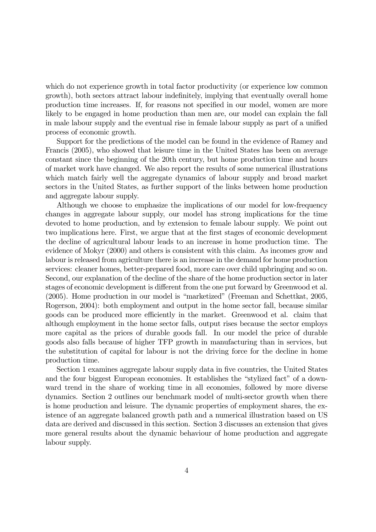which do not experience growth in total factor productivity (or experience low common growth), both sectors attract labour indefinitely, implying that eventually overall home production time increases. If, for reasons not specified in our model, women are more likely to be engaged in home production than men are, our model can explain the fall in male labour supply and the eventual rise in female labour supply as part of a unified process of economic growth.

Support for the predictions of the model can be found in the evidence of Ramey and Francis (2005), who showed that leisure time in the United States has been on average constant since the beginning of the 20th century, but home production time and hours of market work have changed. We also report the results of some numerical illustrations which match fairly well the aggregate dynamics of labour supply and broad market sectors in the United States, as further support of the links between home production and aggregate labour supply.

Although we choose to emphasize the implications of our model for low-frequency changes in aggregate labour supply, our model has strong implications for the time devoted to home production, and by extension to female labour supply. We point out two implications here. First, we argue that at the first stages of economic development the decline of agricultural labour leads to an increase in home production time. The evidence of Mokyr (2000) and others is consistent with this claim. As incomes grow and labour is released from agriculture there is an increase in the demand for home production services: cleaner homes, better-prepared food, more care over child upbringing and so on. Second, our explanation of the decline of the share of the home production sector in later stages of economic development is different from the one put forward by Greenwood et al. (2005). Home production in our model is "marketized" (Freeman and Schettkat, 2005, Rogerson, 2004): both employment and output in the home sector fall, because similar goods can be produced more efficiently in the market. Greenwood et al. claim that although employment in the home sector falls, output rises because the sector employs more capital as the prices of durable goods fall. In our model the price of durable goods also falls because of higher TFP growth in manufacturing than in services, but the substitution of capital for labour is not the driving force for the decline in home production time.

Section 1 examines aggregate labour supply data in five countries, the United States and the four biggest European economies. It establishes the "stylized fact" of a downward trend in the share of working time in all economies, followed by more diverse dynamics. Section 2 outlines our benchmark model of multi-sector growth when there is home production and leisure. The dynamic properties of employment shares, the existence of an aggregate balanced growth path and a numerical illustration based on US data are derived and discussed in this section. Section 3 discusses an extension that gives more general results about the dynamic behaviour of home production and aggregate labour supply.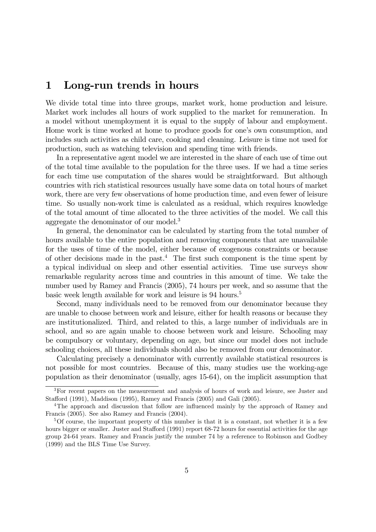## 1 Long-run trends in hours

We divide total time into three groups, market work, home production and leisure. Market work includes all hours of work supplied to the market for remuneration. In a model without unemployment it is equal to the supply of labour and employment. Home work is time worked at home to produce goods for one's own consumption, and includes such activities as child care, cooking and cleaning. Leisure is time not used for production, such as watching television and spending time with friends.

In a representative agent model we are interested in the share of each use of time out of the total time available to the population for the three uses. If we had a time series for each time use computation of the shares would be straightforward. But although countries with rich statistical resources usually have some data on total hours of market work, there are very few observations of home production time, and even fewer of leisure time. So usually non-work time is calculated as a residual, which requires knowledge of the total amount of time allocated to the three activities of the model. We call this aggregate the denominator of our model.<sup>3</sup>

In general, the denominator can be calculated by starting from the total number of hours available to the entire population and removing components that are unavailable for the uses of time of the model, either because of exogenous constraints or because of other decisions made in the past.<sup>4</sup> The first such component is the time spent by a typical individual on sleep and other essential activities. Time use surveys show remarkable regularity across time and countries in this amount of time. We take the number used by Ramey and Francis (2005), 74 hours per week, and so assume that the basic week length available for work and leisure is 94 hours.<sup>5</sup>

Second, many individuals need to be removed from our denominator because they are unable to choose between work and leisure, either for health reasons or because they are institutionalized. Third, and related to this, a large number of individuals are in school, and so are again unable to choose between work and leisure. Schooling may be compulsory or voluntary, depending on age, but since our model does not include schooling choices, all these individuals should also be removed from our denominator.

Calculating precisely a denominator with currently available statistical resources is not possible for most countries. Because of this, many studies use the working-age population as their denominator (usually, ages 15-64), on the implicit assumption that

<sup>&</sup>lt;sup>3</sup>For recent papers on the measurement and analysis of hours of work and leisure, see Juster and Stafford (1991), Maddison (1995), Ramey and Francis (2005) and Gali (2005).

<sup>4</sup>The approach and discussion that follow are influenced mainly by the approach of Ramey and Francis (2005). See also Ramey and Francis (2004).

<sup>&</sup>lt;sup>5</sup>Of course, the important property of this number is that it is a constant, not whether it is a few hours bigger or smaller. Juster and Stafford (1991) report 68-72 hours for essential activities for the age group 24-64 years. Ramey and Francis justify the number 74 by a reference to Robinson and Godbey (1999) and the BLS Time Use Survey.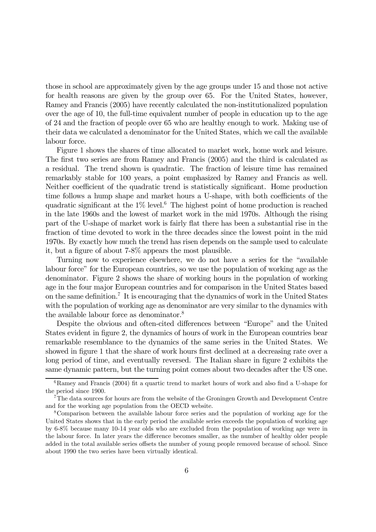those in school are approximately given by the age groups under 15 and those not active for health reasons are given by the group over 65. For the United States, however, Ramey and Francis (2005) have recently calculated the non-institutionalized population over the age of 10, the full-time equivalent number of people in education up to the age of 24 and the fraction of people over 65 who are healthy enough to work. Making use of their data we calculated a denominator for the United States, which we call the available labour force.

Figure 1 shows the shares of time allocated to market work, home work and leisure. The first two series are from Ramey and Francis (2005) and the third is calculated as a residual. The trend shown is quadratic. The fraction of leisure time has remained remarkably stable for 100 years, a point emphasized by Ramey and Francis as well. Neither coefficient of the quadratic trend is statistically significant. Home production time follows a hump shape and market hours a U-shape, with both coefficients of the quadratic significant at the  $1\%$  level.<sup>6</sup> The highest point of home production is reached in the late 1960s and the lowest of market work in the mid 1970s. Although the rising part of the U-shape of market work is fairly flat there has been a substantial rise in the fraction of time devoted to work in the three decades since the lowest point in the mid 1970s. By exactly how much the trend has risen depends on the sample used to calculate it, but a figure of about 7-8% appears the most plausible.

Turning now to experience elsewhere, we do not have a series for the "available labour force" for the European countries, so we use the population of working age as the denominator. Figure 2 shows the share of working hours in the population of working age in the four major European countries and for comparison in the United States based on the same definition.7 It is encouraging that the dynamics of work in the United States with the population of working age as denominator are very similar to the dynamics with the available labour force as denominator.<sup>8</sup>

Despite the obvious and often-cited differences between "Europe" and the United States evident in figure 2, the dynamics of hours of work in the European countries bear remarkable resemblance to the dynamics of the same series in the United States. We showed in figure 1 that the share of work hours first declined at a decreasing rate over a long period of time, and eventually reversed. The Italian share in figure 2 exhibits the same dynamic pattern, but the turning point comes about two decades after the US one.

 $6$ Ramey and Francis (2004) fit a quartic trend to market hours of work and also find a U-shape for the period since 1900.

<sup>7</sup>The data sources for hours are from the website of the Groningen Growth and Development Centre and for the working age population from the OECD website.

<sup>8</sup>Comparison between the available labour force series and the population of working age for the United States shows that in the early period the available series exceeds the population of working age by 6-8% because many 10-14 year olds who are excluded from the population of working age were in the labour force. In later years the difference becomes smaller, as the number of healthy older people added in the total available series offsets the number of young people removed because of school. Since about 1990 the two series have been virtually identical.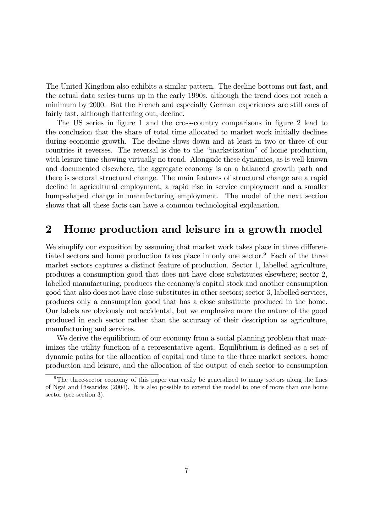The United Kingdom also exhibits a similar pattern. The decline bottoms out fast, and the actual data series turns up in the early 1990s, although the trend does not reach a minimum by 2000. But the French and especially German experiences are still ones of fairly fast, although flattening out, decline.

The US series in figure 1 and the cross-country comparisons in figure 2 lead to the conclusion that the share of total time allocated to market work initially declines during economic growth. The decline slows down and at least in two or three of our countries it reverses. The reversal is due to the "marketization" of home production, with leisure time showing virtually no trend. Alongside these dynamics, as is well-known and documented elsewhere, the aggregate economy is on a balanced growth path and there is sectoral structural change. The main features of structural change are a rapid decline in agricultural employment, a rapid rise in service employment and a smaller hump-shaped change in manufacturing employment. The model of the next section shows that all these facts can have a common technological explanation.

## 2 Home production and leisure in a growth model

We simplify our exposition by assuming that market work takes place in three differentiated sectors and home production takes place in only one sector.<sup>9</sup> Each of the three market sectors captures a distinct feature of production. Sector 1, labelled agriculture, produces a consumption good that does not have close substitutes elsewhere; sector 2, labelled manufacturing, produces the economy's capital stock and another consumption good that also does not have close substitutes in other sectors; sector 3, labelled services, produces only a consumption good that has a close substitute produced in the home. Our labels are obviously not accidental, but we emphasize more the nature of the good produced in each sector rather than the accuracy of their description as agriculture, manufacturing and services.

We derive the equilibrium of our economy from a social planning problem that maximizes the utility function of a representative agent. Equilibrium is defined as a set of dynamic paths for the allocation of capital and time to the three market sectors, home production and leisure, and the allocation of the output of each sector to consumption

<sup>&</sup>lt;sup>9</sup>The three-sector economy of this paper can easily be generalized to many sectors along the lines of Ngai and Pissarides (2004). It is also possible to extend the model to one of more than one home sector (see section 3).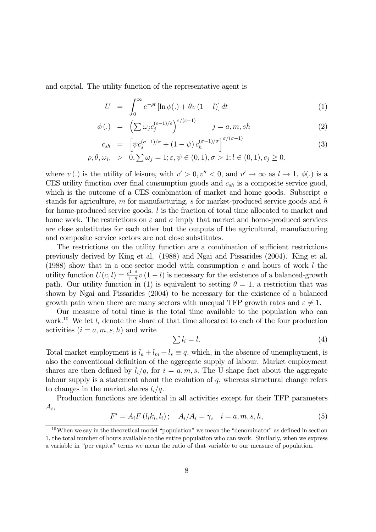and capital. The utility function of the representative agent is

$$
U = \int_0^\infty e^{-\rho t} \left[ \ln \phi(.) + \theta v (1 - l) \right] dt \tag{1}
$$

$$
\phi(.) = \left(\sum \omega_j c_j^{(\varepsilon - 1)/\varepsilon}\right)^{\varepsilon/(\varepsilon - 1)} \qquad j = a, m, sh \tag{2}
$$

$$
c_{sh} = \left[ \psi c_s^{(\sigma - 1)/\sigma} + (1 - \psi) c_h^{(\sigma - 1)/\sigma} \right]^{\sigma/(\sigma - 1)}
$$
  
\n
$$
\rho, \theta, \omega_i, > 0, \sum \omega_j = 1; \varepsilon, \psi \in (0, 1), \sigma > 1; l \in (0, 1), c_j \ge 0.
$$
\n(3)

where v(.) is the utility of leisure, with  $v' > 0, v'' < 0$ , and  $v' \to \infty$  as  $l \to 1, \phi(.)$  is a CES utility function over final consumption goods and  $c_{sh}$  is a composite service good, which is the outcome of a CES combination of market and home goods. Subscript a stands for agriculture, m for manufacturing, s for market-produced service goods and h for home-produced service goods.  $l$  is the fraction of total time allocated to market and home work. The restrictions on  $\varepsilon$  and  $\sigma$  imply that market and home-produced services are close substitutes for each other but the outputs of the agricultural, manufacturing and composite service sectors are not close substitutes.

The restrictions on the utility function are a combination of sufficient restrictions previously derived by King et al. (1988) and Ngai and Pissarides (2004). King et al. (1988) show that in a one-sector model with consumption  $c$  and hours of work  $l$  the utility function  $U(c, l) = \frac{c^{1-\theta}}{1-\theta}v(1-l)$  is necessary for the existence of a balanced-growth path. Our utility function in (1) is equivalent to setting  $\theta = 1$ , a restriction that was shown by Ngai and Pissarides (2004) to be necessary for the existence of a balanced growth path when there are many sectors with unequal TFP growth rates and  $\varepsilon \neq 1$ .

Our measure of total time is the total time available to the population who can work.<sup>10</sup> We let  $l_i$  denote the share of that time allocated to each of the four production activities  $(i = a, m, s, h)$  and write

$$
\sum l_i = l. \tag{4}
$$

Total market employment is  $l_a + l_m + l_s \equiv q$ , which, in the absence of unemployment, is also the conventional definition of the aggregate supply of labour. Market employment shares are then defined by  $l_i/q$ , for  $i = a, m, s$ . The U-shape fact about the aggregate labour supply is a statement about the evolution of q, whereas structural change refers to changes in the market shares  $l_i/q$ .

Production functions are identical in all activities except for their TFP parameters  $A_i$ 

$$
F^{i} = A_{i} F(l_{i} k_{i}, l_{i}); \quad \dot{A}_{i} / A_{i} = \gamma_{i} \quad i = a, m, s, h,
$$
 (5)

 $10$ When we say in the theoretical model "population" we mean the "denominator" as defined in section 1, the total number of hours available to the entire population who can work. Similarly, when we express a variable in "per capita" terms we mean the ratio of that variable to our measure of population.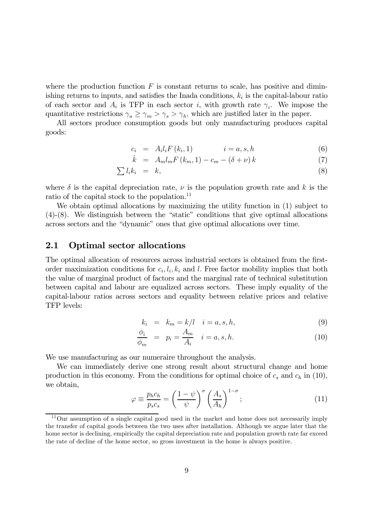where the production function  $F$  is constant returns to scale, has positive and diminishing returns to inputs, and satisfies the Inada conditions,  $k_i$  is the capital-labour ratio of each sector and  $A_i$  is TFP in each sector i, with growth rate  $\gamma_i$ . We impose the quantitative restrictions  $\gamma_a \geq \gamma_m > \gamma_s > \gamma_h$ , which are justified later in the paper.

All sectors produce consumption goods but only manufacturing produces capital goods:

$$
c_i = A_i l_i F(k_i, 1) \qquad i = a, s, h \qquad (6)
$$

$$
\dot{k} = A_m l_m F(k_m, 1) - c_m - (\delta + \nu) k \tag{7}
$$

$$
\sum l_i k_i = k,\tag{8}
$$

where  $\delta$  is the capital depreciation rate,  $\nu$  is the population growth rate and k is the ratio of the capital stock to the population.<sup>11</sup>

We obtain optimal allocations by maximizing the utility function in  $(1)$  subject to (4)-(8). We distinguish between the "static" conditions that give optimal allocations across sectors and the "dynamic" ones that give optimal allocations over time.

### 2.1 Optimal sector allocations

The optimal allocation of resources across industrial sectors is obtained from the firstorder maximization conditions for  $c_i, l_i, k_i$  and l. Free factor mobility implies that both the value of marginal product of factors and the marginal rate of technical substitution between capital and labour are equalized across sectors. These imply equality of the capital-labour ratios across sectors and equality between relative prices and relative TFP levels:

$$
k_i = k_m = k/l \quad i = a, s, h,
$$
\n
$$
(9)
$$

$$
\frac{\phi_i}{\phi_m} = p_i = \frac{A_m}{A_i} \quad i = a, s, h. \tag{10}
$$

We use manufacturing as our numeraire throughout the analysis.

We can immediately derive one strong result about structural change and home production in this economy. From the conditions for optimal choice of  $c_s$  and  $c_h$  in (10), we obtain,

$$
\varphi \equiv \frac{p_h c_h}{p_s c_s} = \left(\frac{1-\psi}{\psi}\right)^{\sigma} \left(\frac{A_s}{A_h}\right)^{1-\sigma};\tag{11}
$$

<sup>&</sup>lt;sup>11</sup>Our assumption of a single capital good used in the market and home does not necessarily imply the transfer of capital goods between the two uses after installation. Although we argue later that the home sector is declining, empirically the capital depreciation rate and population growth rate far exceed the rate of decline of the home sector, so gross investment in the home is always positive.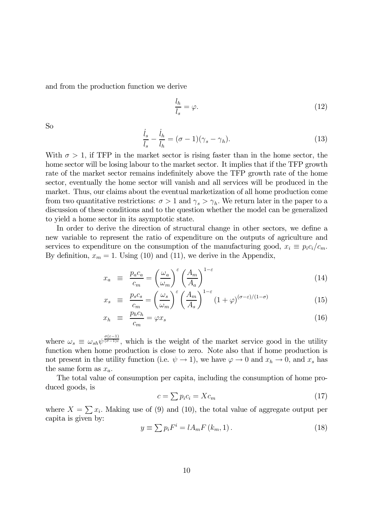and from the production function we derive

$$
\frac{l_h}{l_s} = \varphi. \tag{12}
$$

 $\mathbf{S}\mathbf{o}$   $i$ 

$$
\frac{\dot{l}_s}{l_s} - \frac{\dot{l}_h}{l_h} = (\sigma - 1)(\gamma_s - \gamma_h). \tag{13}
$$

With  $\sigma > 1$ , if TFP in the market sector is rising faster than in the home sector, the home sector will be losing labour to the market sector. It implies that if the TFP growth rate of the market sector remains indefinitely above the TFP growth rate of the home sector, eventually the home sector will vanish and all services will be produced in the market. Thus, our claims about the eventual marketization of all home production come from two quantitative restrictions:  $\sigma > 1$  and  $\gamma_s > \gamma_h$ . We return later in the paper to a discussion of these conditions and to the question whether the model can be generalized to yield a home sector in its asymptotic state.

In order to derive the direction of structural change in other sectors, we define a new variable to represent the ratio of expenditure on the outputs of agriculture and services to expenditure on the consumption of the manufacturing good,  $x_i \equiv p_i c_i/c_m$ . By definition,  $x_m = 1$ . Using (10) and (11), we derive in the Appendix,

$$
x_a \equiv \frac{p_a c_a}{c_m} = \left(\frac{\omega_a}{\omega_m}\right)^{\varepsilon} \left(\frac{A_m}{A_a}\right)^{1-\varepsilon} \tag{14}
$$

$$
x_s \equiv \frac{p_s c_s}{c_m} = \left(\frac{\omega_s}{\omega_m}\right)^{\varepsilon} \left(\frac{A_m}{A_s}\right)^{1-\varepsilon} (1+\varphi)^{(\sigma-\varepsilon)/(1-\sigma)} \tag{15}
$$

$$
x_h \equiv \frac{p_h c_h}{c_m} = \varphi x_s \tag{16}
$$

where  $\omega_s \equiv \omega_{sh} \psi^{\frac{\sigma(\varepsilon-1)}{(\sigma-1)\varepsilon}}$ , which is the weight of the market service good in the utility function when home production is close to zero. Note also that if home production is not present in the utility function (i.e.  $\psi \to 1$ ), we have  $\varphi \to 0$  and  $x_h \to 0$ , and  $x_s$  has the same form as  $x_a$ .

The total value of consumption per capita, including the consumption of home produced goods, is

$$
c = \sum p_i c_i = X c_m \tag{17}
$$

where  $X = \sum x_i$ . Making use of (9) and (10), the total value of aggregate output per capita is given by:

$$
y \equiv \sum p_i F^i = l A_m F(k_m, 1). \tag{18}
$$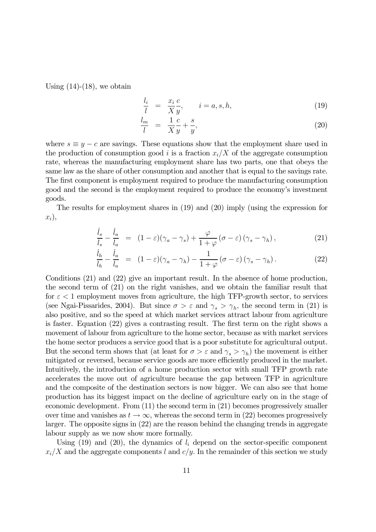Using  $(14)-(18)$ , we obtain

$$
\frac{l_i}{l} = \frac{x_i}{X} \frac{c}{y}, \qquad i = a, s, h,
$$
\n(19)

$$
\frac{l_m}{l} = \frac{1}{X} \frac{c}{y} + \frac{s}{y},\tag{20}
$$

where  $s \equiv y - c$  are savings. These equations show that the employment share used in the production of consumption good i is a fraction  $x_i/X$  of the aggregate consumption rate, whereas the manufacturing employment share has two parts, one that obeys the same law as the share of other consumption and another that is equal to the savings rate. The first component is employment required to produce the manufacturing consumption good and the second is the employment required to produce the economy's investment goods.

The results for employment shares in (19) and (20) imply (using the expression for  $x_i$ ,

$$
\frac{\dot{l}_s}{l_s} - \frac{\dot{l}_a}{l_a} = (1 - \varepsilon)(\gamma_a - \gamma_s) + \frac{\varphi}{1 + \varphi} (\sigma - \varepsilon)(\gamma_s - \gamma_h), \tag{21}
$$

$$
\frac{i_h}{i_h} - \frac{i_a}{i_a} = (1 - \varepsilon)(\gamma_a - \gamma_h) - \frac{1}{1 + \varphi} (\sigma - \varepsilon)(\gamma_s - \gamma_h). \tag{22}
$$

Conditions (21) and (22) give an important result. In the absence of home production, the second term of (21) on the right vanishes, and we obtain the familiar result that for  $\varepsilon$  < 1 employment moves from agriculture, the high TFP-growth sector, to services (see Ngai-Pissarides, 2004). But since  $\sigma > \varepsilon$  and  $\gamma_s > \gamma_h$ , the second term in (21) is also positive, and so the speed at which market services attract labour from agriculture is faster. Equation (22) gives a contrasting result. The first term on the right shows a movement of labour from agriculture to the home sector, because as with market services the home sector produces a service good that is a poor substitute for agricultural output. But the second term shows that (at least for  $\sigma > \varepsilon$  and  $\gamma_s > \gamma_h$ ) the movement is either mitigated or reversed, because service goods are more efficiently produced in the market. Intuitively, the introduction of a home production sector with small TFP growth rate accelerates the move out of agriculture because the gap between TFP in agriculture and the composite of the destination sectors is now bigger. We can also see that home production has its biggest impact on the decline of agriculture early on in the stage of economic development. From (11) the second term in (21) becomes progressively smaller over time and vanishes as  $t \to \infty$ , whereas the second term in (22) becomes progressively larger. The opposite signs in (22) are the reason behind the changing trends in aggregate labour supply as we now show more formally.

Using (19) and (20), the dynamics of  $l_i$  depend on the sector-specific component  $x_i/X$  and the aggregate components l and  $c/y$ . In the remainder of this section we study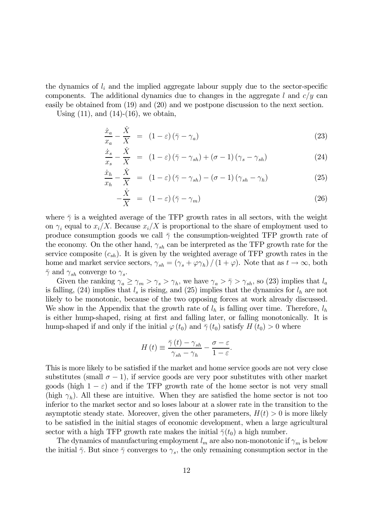the dynamics of  $l_i$  and the implied aggregate labour supply due to the sector-specific components. The additional dynamics due to changes in the aggregate l and  $c/y$  can easily be obtained from (19) and (20) and we postpone discussion to the next section.

Using  $(11)$ , and  $(14)-(16)$ , we obtain,

$$
\frac{\dot{x}_a}{x_a} - \frac{\dot{X}}{X} = (1 - \varepsilon)(\bar{\gamma} - \gamma_a)
$$
\n(23)

$$
\frac{\dot{x}_s}{x_s} - \frac{\dot{X}}{X} = (1 - \varepsilon)(\bar{\gamma} - \gamma_{sh}) + (\sigma - 1)(\gamma_s - \gamma_{sh})
$$
\n(24)

$$
\frac{\dot{x}_h}{x_h} - \frac{\dot{X}}{X} = (1 - \varepsilon)(\bar{\gamma} - \gamma_{sh}) - (\sigma - 1)(\gamma_{sh} - \gamma_h)
$$
\n(25)

$$
-\frac{\dot{X}}{X} = (1 - \varepsilon)(\bar{\gamma} - \gamma_m) \tag{26}
$$

where  $\bar{\gamma}$  is a weighted average of the TFP growth rates in all sectors, with the weight on  $\gamma_i$  equal to  $x_i/X$ . Because  $x_i/X$  is proportional to the share of employment used to produce consumption goods we call  $\bar{\gamma}$  the consumption-weighted TFP growth rate of the economy. On the other hand,  $\gamma_{sh}$  can be interpreted as the TFP growth rate for the service composite  $(c_{sh})$ . It is given by the weighted average of TFP growth rates in the home and market service sectors,  $\gamma_{sh} = (\gamma_s + \varphi \gamma_h) / (1 + \varphi)$ . Note that as  $t \to \infty$ , both  $\bar{\gamma}$  and  $\gamma_{sh}$  converge to  $\gamma_s$ .

Given the ranking  $\gamma_a \ge \gamma_m > \gamma_s > \gamma_h$ , we have  $\gamma_a > \overline{\gamma} > \gamma_{sh}$ , so (23) implies that  $l_a$ is falling, (24) implies that  $l_s$  is rising, and (25) implies that the dynamics for  $l_h$  are not likely to be monotonic, because of the two opposing forces at work already discussed. We show in the Appendix that the growth rate of  $l_h$  is falling over time. Therefore,  $l_h$ is either hump-shaped, rising at first and falling later, or falling monotonically. It is hump-shaped if and only if the initial  $\varphi(t_0)$  and  $\bar{\gamma}(t_0)$  satisfy  $H(t_0) > 0$  where

$$
H(t) \equiv \frac{\bar{\gamma}(t) - \gamma_{sh}}{\gamma_{sh} - \gamma_h} - \frac{\sigma - \varepsilon}{1 - \varepsilon}.
$$

This is more likely to be satisfied if the market and home service goods are not very close substitutes (small  $\sigma - 1$ ), if service goods are very poor substitutes with other market goods (high  $1 - \varepsilon$ ) and if the TFP growth rate of the home sector is not very small (high  $\gamma_h$ ). All these are intuitive. When they are satisfied the home sector is not too inferior to the market sector and so loses labour at a slower rate in the transition to the asymptotic steady state. Moreover, given the other parameters,  $H(t) > 0$  is more likely to be satisfied in the initial stages of economic development, when a large agricultural sector with a high TFP growth rate makes the initial  $\bar{\gamma}(t_0)$  a high number.

The dynamics of manufacturing employment  $l_m$  are also non-monotonic if  $\gamma_m$  is below the initial  $\bar{\gamma}$ . But since  $\bar{\gamma}$  converges to  $\gamma_s$ , the only remaining consumption sector in the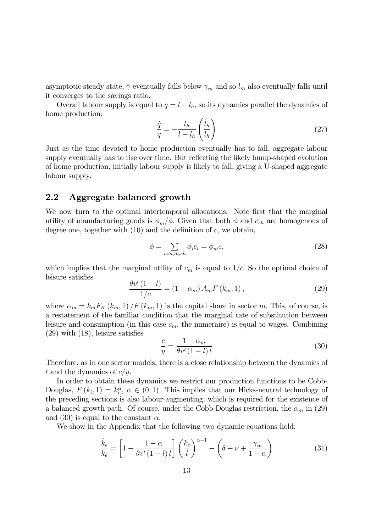asymptotic steady state,  $\bar{\gamma}$  eventually falls below  $\gamma_m$  and so  $l_m$  also eventually falls until it converges to the savings ratio.

Overall labour supply is equal to  $q = l - l_h$ , so its dynamics parallel the dynamics of home production:

$$
\frac{\dot{q}}{q} = -\frac{l_h}{l - l_h} \left(\frac{\dot{l}_h}{l_h}\right) \tag{27}
$$

Just as the time devoted to home production eventually has to fall, aggregate labour supply eventually has to rise over time. But reflecting the likely hump-shaped evolution of home production, initially labour supply is likely to fall, giving a U-shaped aggregate labour supply.

### 2.2 Aggregate balanced growth

We now turn to the optimal intertemporal allocations. Note first that the marginal utility of manufacturing goods is  $\phi_m/\phi$ . Given that both  $\phi$  and  $c_{sh}$  are homogenous of degree one, together with  $(10)$  and the definition of c, we obtain,

$$
\phi = \sum_{i=a,m,sh} \phi_i c_i = \phi_m c,\tag{28}
$$

which implies that the marginal utility of  $c_m$  is equal to  $1/c$ . So the optimal choice of leisure satisfies

$$
\frac{\theta v'(1-l)}{1/c} = (1 - \alpha_m) A_m F(k_m, 1), \qquad (29)
$$

where  $\alpha_m = k_m F_K(k_m, 1) / F(k_m, 1)$  is the capital share in sector m. This, of course, is a restatement of the familiar condition that the marginal rate of substitution between leisure and consumption (in this case  $c_m$ , the numeraire) is equal to wages. Combining (29) with (18), leisure satisfies

$$
\frac{c}{y} = \frac{1 - \alpha_m}{\theta v' \left(1 - l\right) l} \tag{30}
$$

Therefore, as in one sector models, there is a close relationship between the dynamics of l and the dynamics of  $c/y$ .

In order to obtain these dynamics we restrict our production functions to be Cobb-Douglas,  $F(k_i, 1) = k_i^{\alpha}, \alpha \in (0, 1)$ . This implies that our Hicks-neutral technology of the preceding sections is also labour-augmenting, which is required for the existence of a balanced growth path. Of course, under the Cobb-Douglas restriction, the  $\alpha_m$  in (29) and (30) is equal to the constant  $\alpha$ .

We show in the Appendix that the following two dynamic equations hold:

$$
\frac{\dot{k}_e}{k_e} = \left[1 - \frac{1 - \alpha}{\theta v'(1 - l) l}\right] \left(\frac{k_e}{l}\right)^{\alpha - 1} - \left(\delta + \nu + \frac{\gamma_m}{1 - \alpha}\right)
$$
\n(31)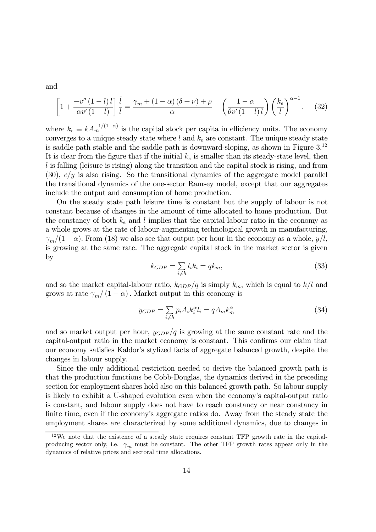and

$$
\left[1+\frac{-v''(1-l)l}{\alpha v'(1-l)}\right]\frac{i}{l} = \frac{\gamma_m + (1-\alpha)\left(\delta+\nu\right)+\rho}{\alpha} - \left(\frac{1-\alpha}{\theta v'(1-l)l}\right)\left(\frac{k_e}{l}\right)^{\alpha-1}.\tag{32}
$$

where  $k_e \equiv k A_m^{-1/(1-\alpha)}$  is the capital stock per capita in efficiency units. The economy converges to a unique steady state where  $l$  and  $k_e$  are constant. The unique steady state is saddle-path stable and the saddle path is downward-sloping, as shown in Figure  $3^{12}$ It is clear from the figure that if the initial  $k_e$  is smaller than its steady-state level, then  $l$  is falling (leisure is rising) along the transition and the capital stock is rising, and from  $(30)$ ,  $c/y$  is also rising. So the transitional dynamics of the aggregate model parallel the transitional dynamics of the one-sector Ramsey model, except that our aggregates include the output and consumption of home production.

On the steady state path leisure time is constant but the supply of labour is not constant because of changes in the amount of time allocated to home production. But the constancy of both  $k_e$  and l implies that the capital-labour ratio in the economy as a whole grows at the rate of labour-augmenting technological growth in manufacturing,  $\gamma_m/(1-\alpha)$ . From (18) we also see that output per hour in the economy as a whole,  $y/l$ , is growing at the same rate. The aggregate capital stock in the market sector is given by

$$
k_{GDP} = \sum_{i \neq h} l_i k_i = q k_m,\tag{33}
$$

and so the market capital-labour ratio,  $k_{GDP}/q$  is simply  $k_m$ , which is equal to  $k/l$  and grows at rate  $\gamma_m/(1-\alpha)$ . Market output in this economy is

$$
y_{GDP} = \sum_{i \neq h} p_i A_i k_i^{\alpha} l_i = q A_m k_m^{\alpha}
$$
 (34)

and so market output per hour,  $y_{GDP}/q$  is growing at the same constant rate and the capital-output ratio in the market economy is constant. This confirms our claim that our economy satisfies Kaldor's stylized facts of aggregate balanced growth, despite the changes in labour supply.

Since the only additional restriction needed to derive the balanced growth path is that the production functions be Cobb-Douglas, the dynamics derived in the preceding section for employment shares hold also on this balanced growth path. So labour supply is likely to exhibit a U-shaped evolution even when the economy's capital-output ratio is constant, and labour supply does not have to reach constancy or near constancy in finite time, even if the economy's aggregate ratios do. Away from the steady state the employment shares are characterized by some additional dynamics, due to changes in

<sup>&</sup>lt;sup>12</sup>We note that the existence of a steady state requires constant TFP growth rate in the capitalproducing sector only, i.e.  $\gamma_m$  must be constant. The other TFP growth rates appear only in the dynamics of relative prices and sectoral time allocations.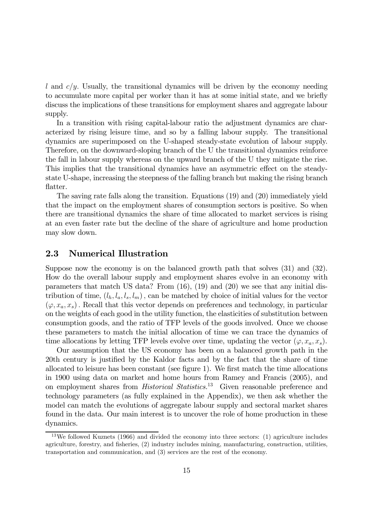l and  $c/y$ . Usually, the transitional dynamics will be driven by the economy needing to accumulate more capital per worker than it has at some initial state, and we briefly discuss the implications of these transitions for employment shares and aggregate labour supply.

In a transition with rising capital-labour ratio the adjustment dynamics are characterized by rising leisure time, and so by a falling labour supply. The transitional dynamics are superimposed on the U-shaped steady-state evolution of labour supply. Therefore, on the downward-sloping branch of the U the transitional dynamics reinforce the fall in labour supply whereas on the upward branch of the U they mitigate the rise. This implies that the transitional dynamics have an asymmetric effect on the steadystate U-shape, increasing the steepness of the falling branch but making the rising branch flatter.

The saving rate falls along the transition. Equations (19) and (20) immediately yield that the impact on the employment shares of consumption sectors is positive. So when there are transitional dynamics the share of time allocated to market services is rising at an even faster rate but the decline of the share of agriculture and home production may slow down.

### 2.3 Numerical Illustration

Suppose now the economy is on the balanced growth path that solves (31) and (32). How do the overall labour supply and employment shares evolve in an economy with parameters that match US data? From  $(16)$ ,  $(19)$  and  $(20)$  we see that any initial distribution of time,  $(l_h, l_a, l_s, l_m)$ , can be matched by choice of initial values for the vector  $(\varphi, x_a, x_s)$ . Recall that this vector depends on preferences and technology, in particular on the weights of each good in the utility function, the elasticities of substitution between consumption goods, and the ratio of TFP levels of the goods involved. Once we choose these parameters to match the initial allocation of time we can trace the dynamics of time allocations by letting TFP levels evolve over time, updating the vector  $(\varphi, x_a, x_s)$ .

Our assumption that the US economy has been on a balanced growth path in the 20th century is justified by the Kaldor facts and by the fact that the share of time allocated to leisure has been constant (see figure 1). We first match the time allocations in 1900 using data on market and home hours from Ramey and Francis (2005), and on employment shares from Historical Statistics.<sup>13</sup> Given reasonable preference and technology parameters (as fully explained in the Appendix), we then ask whether the model can match the evolutions of aggregate labour supply and sectoral market shares found in the data. Our main interest is to uncover the role of home production in these dynamics.

<sup>&</sup>lt;sup>13</sup>We followed Kuznets (1966) and divided the economy into three sectors: (1) agriculture includes agriculture, forestry, and fisheries, (2) industry includes mining, manufacturing, construction, utilities, transportation and communication, and (3) services are the rest of the economy.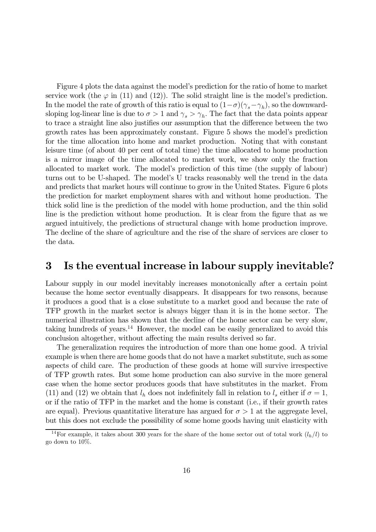Figure 4 plots the data against the model's prediction for the ratio of home to market service work (the  $\varphi$  in (11) and (12)). The solid straight line is the model's prediction. In the model the rate of growth of this ratio is equal to  $(1-\sigma)(\gamma_s-\gamma_h)$ , so the downwardsloping log-linear line is due to  $\sigma > 1$  and  $\gamma_s > \gamma_h$ . The fact that the data points appear to trace a straight line also justifies our assumption that the difference between the two growth rates has been approximately constant. Figure 5 shows the model's prediction for the time allocation into home and market production. Noting that with constant leisure time (of about 40 per cent of total time) the time allocated to home production is a mirror image of the time allocated to market work, we show only the fraction allocated to market work. The model's prediction of this time (the supply of labour) turns out to be U-shaped. The model's U tracks reasonably well the trend in the data and predicts that market hours will continue to grow in the United States. Figure 6 plots the prediction for market employment shares with and without home production. The thick solid line is the prediction of the model with home production, and the thin solid line is the prediction without home production. It is clear from the figure that as we argued intuitively, the predictions of structural change with home production improve. The decline of the share of agriculture and the rise of the share of services are closer to the data.

### 3 Is the eventual increase in labour supply inevitable?

Labour supply in our model inevitably increases monotonically after a certain point because the home sector eventually disappears. It disappears for two reasons, because it produces a good that is a close substitute to a market good and because the rate of TFP growth in the market sector is always bigger than it is in the home sector. The numerical illustration has shown that the decline of the home sector can be very slow, taking hundreds of years.<sup>14</sup> However, the model can be easily generalized to avoid this conclusion altogether, without affecting the main results derived so far.

The generalization requires the introduction of more than one home good. A trivial example is when there are home goods that do not have a market substitute, such as some aspects of child care. The production of these goods at home will survive irrespective of TFP growth rates. But some home production can also survive in the more general case when the home sector produces goods that have substitutes in the market. From (11) and (12) we obtain that  $l_h$  does not indefinitely fall in relation to  $l_s$  either if  $\sigma = 1$ , or if the ratio of TFP in the market and the home is constant (i.e., if their growth rates are equal). Previous quantitative literature has argued for  $\sigma > 1$  at the aggregate level, but this does not exclude the possibility of some home goods having unit elasticity with

<sup>&</sup>lt;sup>14</sup>For example, it takes about 300 years for the share of the home sector out of total work  $(l_h/l)$  to go down to 10%.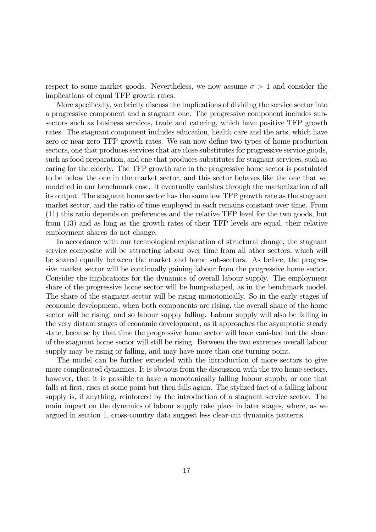respect to some market goods. Nevertheless, we now assume  $\sigma > 1$  and consider the implications of equal TFP growth rates.

More specifically, we briefly discuss the implications of dividing the service sector into a progressive component and a stagnant one. The progressive component includes subsectors such as business services, trade and catering, which have positive TFP growth rates. The stagnant component includes education, health care and the arts, which have zero or near zero TFP growth rates. We can now define two types of home production sectors, one that produces services that are close substitutes for progressive service goods, such as food preparation, and one that produces substitutes for stagnant services, such as caring for the elderly. The TFP growth rate in the progressive home sector is postulated to be below the one in the market sector, and this sector behaves like the one that we modelled in our benchmark case. It eventually vanishes through the marketization of all its output. The stagnant home sector has the same low TFP growth rate as the stagnant market sector, and the ratio of time employed in each remains constant over time. From (11) this ratio depends on preferences and the relative TFP level for the two goods, but from (13) and as long as the growth rates of their TFP levels are equal, their relative employment shares do not change.

In accordance with our technological explanation of structural change, the stagnant service composite will be attracting labour over time from all other sectors, which will be shared equally between the market and home sub-sectors. As before, the progressive market sector will be continually gaining labour from the progressive home sector. Consider the implications for the dynamics of overall labour supply. The employment share of the progressive home sector will be hump-shaped, as in the benchmark model. The share of the stagnant sector will be rising monotonically. So in the early stages of economic development, when both components are rising, the overall share of the home sector will be rising, and so labour supply falling. Labour supply will also be falling in the very distant stages of economic development, as it approaches the asymptotic steady state, because by that time the progressive home sector will have vanished but the share of the stagnant home sector will still be rising. Between the two extremes overall labour supply may be rising or falling, and may have more than one turning point.

The model can be further extended with the introduction of more sectors to give more complicated dynamics. It is obvious from the discussion with the two home sectors, however, that it is possible to have a monotonically falling labour supply, or one that falls at first, rises at some point but then falls again. The stylized fact of a falling labour supply is, if anything, reinforced by the introduction of a stagnant service sector. The main impact on the dynamics of labour supply take place in later stages, where, as we argued in section 1, cross-country data suggest less clear-cut dynamics patterns.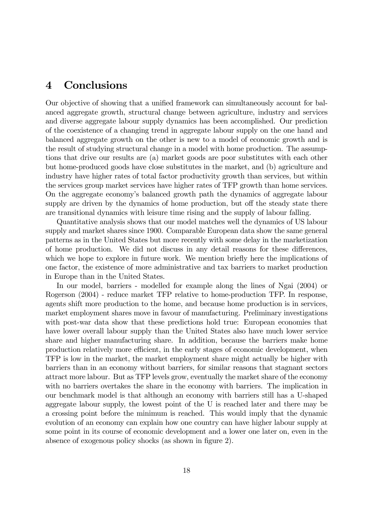### 4 Conclusions

Our objective of showing that a unified framework can simultaneously account for balanced aggregate growth, structural change between agriculture, industry and services and diverse aggregate labour supply dynamics has been accomplished. Our prediction of the coexistence of a changing trend in aggregate labour supply on the one hand and balanced aggregate growth on the other is new to a model of economic growth and is the result of studying structural change in a model with home production. The assumptions that drive our results are (a) market goods are poor substitutes with each other but home-produced goods have close substitutes in the market, and (b) agriculture and industry have higher rates of total factor productivity growth than services, but within the services group market services have higher rates of TFP growth than home services. On the aggregate economy's balanced growth path the dynamics of aggregate labour supply are driven by the dynamics of home production, but off the steady state there are transitional dynamics with leisure time rising and the supply of labour falling.

Quantitative analysis shows that our model matches well the dynamics of US labour supply and market shares since 1900. Comparable European data show the same general patterns as in the United States but more recently with some delay in the marketization of home production. We did not discuss in any detail reasons for these differences, which we hope to explore in future work. We mention briefly here the implications of one factor, the existence of more administrative and tax barriers to market production in Europe than in the United States.

In our model, barriers - modelled for example along the lines of Ngai (2004) or Rogerson (2004) - reduce market TFP relative to home-production TFP. In response, agents shift more production to the home, and because home production is in services, market employment shares move in favour of manufacturing. Preliminary investigations with post-war data show that these predictions hold true: European economies that have lower overall labour supply than the United States also have much lower service share and higher manufacturing share. In addition, because the barriers make home production relatively more efficient, in the early stages of economic development, when TFP is low in the market, the market employment share might actually be higher with barriers than in an economy without barriers, for similar reasons that stagnant sectors attract more labour. But as TFP levels grow, eventually the market share of the economy with no barriers overtakes the share in the economy with barriers. The implication in our benchmark model is that although an economy with barriers still has a U-shaped aggregate labour supply, the lowest point of the U is reached later and there may be a crossing point before the minimum is reached. This would imply that the dynamic evolution of an economy can explain how one country can have higher labour supply at some point in its course of economic development and a lower one later on, even in the absence of exogenous policy shocks (as shown in figure 2).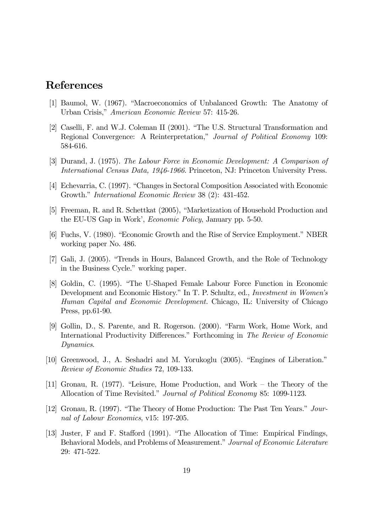## References

- [1] Baumol, W. (1967). "Macroeconomics of Unbalanced Growth: The Anatomy of Urban Crisis," American Economic Review 57: 415-26.
- [2] Caselli, F. and W.J. Coleman II (2001). "The U.S. Structural Transformation and Regional Convergence: A Reinterpretation," Journal of Political Economy 109: 584-616.
- [3] Durand, J. (1975). The Labour Force in Economic Development: A Comparison of International Census Data, 1946-1966. Princeton, NJ: Princeton University Press.
- [4] Echevarria, C. (1997). "Changes in Sectoral Composition Associated with Economic Growth." International Economic Review 38 (2): 431-452.
- [5] Freeman, R. and R. Schettkat (2005), "Marketization of Household Production and the EU-US Gap in Work', Economic Policy, January pp. 5-50.
- [6] Fuchs, V. (1980). "Economic Growth and the Rise of Service Employment." NBER working paper No. 486.
- [7] Gali, J. (2005). "Trends in Hours, Balanced Growth, and the Role of Technology in the Business Cycle." working paper.
- [8] Goldin, C. (1995). "The U-Shaped Female Labour Force Function in Economic Development and Economic History." In T. P. Schultz, ed., Investment in Women's Human Capital and Economic Development. Chicago, IL: University of Chicago Press, pp.61-90.
- [9] Gollin, D., S. Parente, and R. Rogerson. (2000). "Farm Work, Home Work, and International Productivity Differences." Forthcoming in The Review of Economic Dynamics.
- [10] Greenwood, J., A. Seshadri and M. Yorukoglu (2005). "Engines of Liberation." Review of Economic Studies 72, 109-133.
- [11] Gronau, R. (1977). "Leisure, Home Production, and Work the Theory of the Allocation of Time Revisited." Journal of Political Economy 85: 1099-1123.
- [12] Gronau, R. (1997). "The Theory of Home Production: The Past Ten Years." Journal of Labour Economics, v15: 197-205.
- [13] Juster, F and F. Stafford (1991). "The Allocation of Time: Empirical Findings, Behavioral Models, and Problems of Measurement." Journal of Economic Literature 29: 471-522.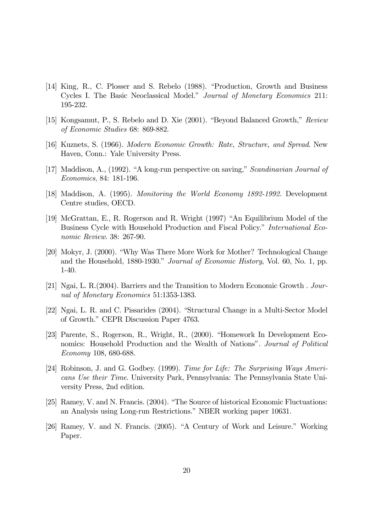- [14] King, R., C. Plosser and S. Rebelo (1988). "Production, Growth and Business Cycles I. The Basic Neoclassical Model." Journal of Monetary Economics 211: 195-232.
- [15] Kongsamut, P., S. Rebelo and D. Xie (2001). "Beyond Balanced Growth," Review of Economic Studies 68: 869-882.
- [16] Kuznets, S. (1966). Modern Economic Growth: Rate, Structure, and Spread. New Haven, Conn.: Yale University Press.
- [17] Maddison, A., (1992). "A long-run perspective on saving," Scandinavian Journal of Economics, 84: 181-196.
- [18] Maddison, A. (1995). Monitoring the World Economy 1892-1992. Development Centre studies, OECD.
- [19] McGrattan, E., R. Rogerson and R. Wright (1997) "An Equilibrium Model of the Business Cycle with Household Production and Fiscal Policy." International Economic Review. 38: 267-90.
- [20] Mokyr, J. (2000). "Why Was There More Work for Mother? Technological Change and the Household, 1880-1930." Journal of Economic History, Vol. 60, No. 1, pp. 1-40.
- [21] Ngai, L. R.(2004). Barriers and the Transition to Modern Economic Growth . Journal of Monetary Economics 51:1353-1383.
- [22] Ngai, L. R. and C. Pissarides (2004). "Structural Change in a Multi-Sector Model of Growth." CEPR Discussion Paper 4763.
- [23] Parente, S., Rogerson, R., Wright, R., (2000). "Homework In Development Economics: Household Production and the Wealth of Nations". Journal of Political Economy 108, 680-688.
- [24] Robinson, J. and G. Godbey. (1999). Time for Life: The Surprising Ways Americans Use their Time. University Park, Pennsylvania: The Pennsylvania State University Press, 2nd edition.
- [25] Ramey, V. and N. Francis. (2004). "The Source of historical Economic Fluctuations: an Analysis using Long-run Restrictions." NBER working paper 10631.
- [26] Ramey, V. and N. Francis. (2005). "A Century of Work and Leisure." Working Paper.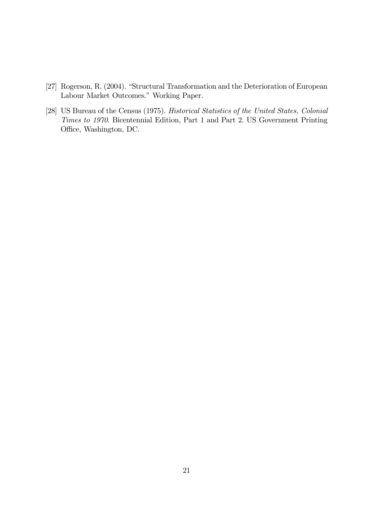- [27] Rogerson, R. (2004). "Structural Transformation and the Deterioration of European Labour Market Outcomes." Working Paper.
- [28] US Bureau of the Census (1975). Historical Statistics of the United States, Colonial Times to 1970. Bicentennial Edition, Part 1 and Part 2. US Government Printing Office, Washington, DC.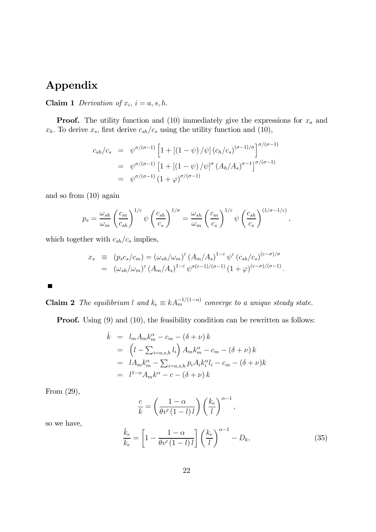## Appendix

Claim 1 Derivation of  $x_i$ ,  $i = a, s, h$ .

**Proof.** The utility function and (10) immediately give the expressions for  $x_a$  and  $x_h$ . To derive  $x_s$ , first derive  $c_{sh}/c_s$  using the utility function and (10),

$$
c_{sh}/c_s = \psi^{\sigma/(\sigma-1)} \left[ 1 + \left[ (1 - \psi) / \psi \right] (c_h/c_s)^{(\sigma-1)/\sigma} \right]^{\sigma/(\sigma-1)}
$$
  
=  $\psi^{\sigma/(\sigma-1)} \left[ 1 + \left[ (1 - \psi) / \psi \right]^\sigma (A_h/A_s)^{\sigma-1} \right]^{\sigma/(\sigma-1)}$   
=  $\psi^{\sigma/(\sigma-1)} (1 + \varphi)^{\sigma/(\sigma-1)}$ 

and so from (10) again

$$
p_s = \frac{\omega_{sh}}{\omega_m} \left(\frac{c_m}{c_{sh}}\right)^{1/\varepsilon} \psi \left(\frac{c_{sh}}{c_s}\right)^{1/\sigma} = \frac{\omega_{sh}}{\omega_m} \left(\frac{c_m}{c_s}\right)^{1/\varepsilon} \psi \left(\frac{c_{sh}}{c_s}\right)^{(1/\sigma - 1/\varepsilon)},
$$

which together with  $c_{sh}/c_s$  implies,

$$
x_s \equiv (p_s c_s / c_m) = (\omega_{sh} / \omega_m)^{\epsilon} (A_m / A_s)^{1-\epsilon} \psi^{\epsilon} (c_{sh} / c_s)^{(\epsilon - \sigma) / \sigma}
$$
  

$$
= (\omega_{sh} / \omega_m)^{\epsilon} (A_m / A_s)^{1-\epsilon} \psi^{\sigma(\epsilon - 1) / (\sigma - 1)} (1 + \varphi)^{(\epsilon - \sigma) / (\sigma - 1)}.
$$

 $\blacksquare$ 

**Claim 2** The equilibrium l and  $k_e \equiv k A_m^{-1/(1-\alpha)}$  converge to a unique steady state.

**Proof.** Using (9) and (10), the feasibility condition can be rewritten as follows:

$$
\begin{array}{rcl}\n\dot{k} & = & l_m A_m k_m^\alpha - c_m - (\delta + \nu) \, k \\
& = & \left( l - \sum_{i=a,s,h} l_i \right) A_m k_m^\alpha - c_m - (\delta + \nu) \, k \\
& = & l A_m k_m^\alpha - \sum_{i=a,s,h} p_i A_i k_i^\alpha l_i - c_m - (\delta + \nu) k \\
& = & l^{1-\alpha} A_m k^\alpha - c - (\delta + \nu) \, k\n\end{array}
$$

From (29),

$$
\frac{c}{k} = \left(\frac{1-\alpha}{\theta v'(1-l) l}\right) \left(\frac{k_e}{l}\right)^{\alpha-1},
$$

so we have,

$$
\frac{\dot{k}_e}{k_e} = \left[1 - \frac{1 - \alpha}{\theta v'(1 - l) l}\right] \left(\frac{k_e}{l}\right)^{\alpha - 1} - D_k,\tag{35}
$$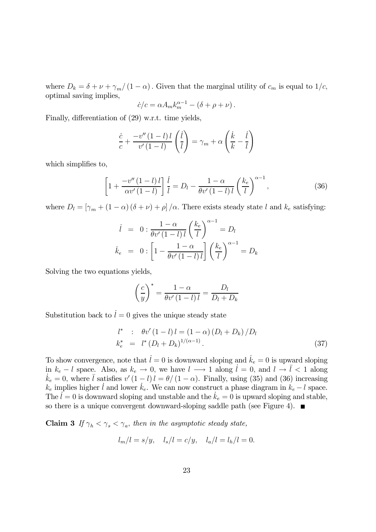where  $D_k = \delta + \nu + \gamma_m/(1 - \alpha)$ . Given that the marginal utility of  $c_m$  is equal to  $1/c$ , optimal saving implies,

$$
\dot{c}/c = \alpha A_m k_m^{\alpha - 1} - (\delta + \rho + \nu).
$$

Finally, differentiation of (29) w.r.t. time yields,

$$
\frac{\dot{c}}{c} + \frac{-v''(1-l)l}{v'(1-l)} \left(\frac{\dot{l}}{l}\right) = \gamma_m + \alpha \left(\frac{\dot{k}}{k} - \frac{\dot{l}}{l}\right)
$$

which simplifies to,

$$
\left[1+\frac{-v''(1-l)l}{\alpha v'(1-l)}\right]\frac{i}{l}=D_l-\frac{1-\alpha}{\theta v'(1-l)l}\left(\frac{k_e}{l}\right)^{\alpha-1},\tag{36}
$$

where  $D_l = [\gamma_m + (1 - \alpha) (\delta + \nu) + \rho] / \alpha$ . There exists steady state l and  $k_e$  satisfying:

$$
\begin{aligned}\ni &= 0: \frac{1-\alpha}{\theta v'(1-l) \, l} \left(\frac{k_e}{l}\right)^{\alpha-1} = D_l \\
\dot{k}_e &= 0: \left[1 - \frac{1-\alpha}{\theta v'(1-l) \, l}\right] \left(\frac{k_e}{l}\right)^{\alpha-1} = D_k\n\end{aligned}
$$

Solving the two equations yields,

$$
\left(\frac{c}{y}\right)^* = \frac{1-\alpha}{\theta v'(1-l) l} = \frac{D_l}{D_l + D_k}
$$

Substitution back to  $\dot{l} = 0$  gives the unique steady state

$$
l^* : \theta v' (1 - l) l = (1 - \alpha) (D_l + D_k) / D_l
$$
  
\n
$$
k_e^* = l^* (D_l + D_k)^{1/(\alpha - 1)}.
$$
\n(37)

To show convergence, note that  $\dot{l} = 0$  is downward sloping and  $\dot{k}_e = 0$  is upward sloping in  $k_e - l$  space. Also, as  $k_e \to 0$ , we have  $l \longrightarrow 1$  along  $l = 0$ , and  $l \to \overline{l} < 1$  along  $k_e = 0$ , where  $\overline{l}$  satisfies  $v'(1 - l)l = \theta/(1 - \alpha)$ . Finally, using (35) and (36) increasing  $k_e = 0$ , where  $\bar{l}$  satisfies  $v'(1 - l)l = \theta/(1 - \alpha)$ . Finally, using (35) and (36) increasing  $k_e$  implies higher  $l$  and lower  $k_e$ . We can now construct a phase diagram in  $k_e - l$  space. The  $\ell = 0$  is downward sloping and unstable and the  $\dot{k}_e = 0$  is upward sloping and stable, so there is a unique convergent downward-sloping saddle path (see Figure 4).  $\blacksquare$ 

Claim 3 If  $\gamma_h < \gamma_s < \gamma_a$ , then in the asymptotic steady state,

$$
l_m/l = s/y, \quad l_s/l = c/y, \quad l_a/l = l_h/l = 0.
$$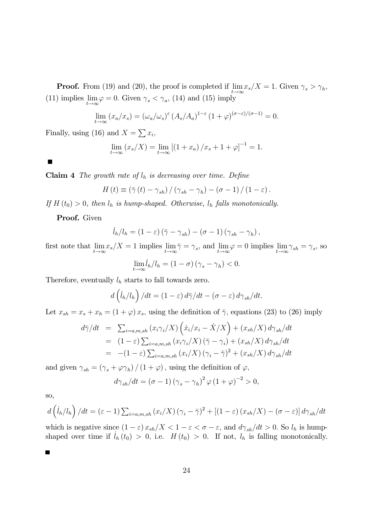**Proof.** From (19) and (20), the proof is completed if  $\lim_{s \to \infty} x_s/X = 1$ . Given  $\gamma_s > \gamma_h$ , (11) implies  $\lim_{t \to \infty} \varphi = 0$ . Given  $\gamma_s < \gamma_a$ , (14) and (15) imply

$$
\lim_{t \to \infty} (x_a/x_s) = (\omega_a/\omega_s)^\varepsilon (A_s/A_a)^{1-\varepsilon} (1+\varphi)^{(\sigma-\varepsilon)/(\sigma-1)} = 0.
$$

Finally, using (16) and  $X = \sum x_i$ ,

$$
\lim_{t \to \infty} (x_s/X) = \lim_{t \to \infty} [(1 + x_a) / x_s + 1 + \varphi]^{-1} = 1.
$$

 $\blacksquare$ 

**Claim 4** The growth rate of  $l_h$  is decreasing over time. Define

$$
H(t) \equiv (\bar{\gamma}(t) - \gamma_{sh}) / (\gamma_{sh} - \gamma_h) - (\sigma - 1) / (1 - \varepsilon).
$$

If  $H(t_0) > 0$ , then  $l_h$  is hump-shaped. Otherwise,  $l_h$  falls monotonically.

Proof. Given

$$
\dot{l}_h/l_h = (1 - \varepsilon) (\bar{\gamma} - \gamma_{sh}) - (\sigma - 1) (\gamma_{sh} - \gamma_h),
$$

first note that  $\lim_{t \to \infty} x_s/X = 1$  implies  $\lim_{t \to \infty} \bar{\gamma} = \gamma_s$ , and  $\lim_{t \to \infty} \varphi = 0$  implies  $\lim_{t \to \infty} \gamma_{sh} = \gamma_s$ , so

$$
\lim_{t \to \infty} l_h / l_h = (1 - \sigma) (\gamma_s - \gamma_h) < 0.
$$

Therefore, eventually  $l_h$  starts to fall towards zero.

$$
d\left(\dot{l}_h/l_h\right)/dt = (1-\varepsilon)\,d\bar{\gamma}/dt - (\sigma - \varepsilon)\,d\gamma_{sh}/dt.
$$

Let  $x_{sh} = x_s + x_h = (1 + \varphi)x_s$ , using the definition of  $\bar{\gamma}$ , equations (23) to (26) imply

$$
d\bar{\gamma}/dt = \sum_{i=a,m,sh} (x_i \gamma_i / X) \left( \dot{x}_i / x_i - \dot{X}/X \right) + (x_{sh}/X) d\gamma_{sh}/dt
$$
  
\n
$$
= (1 - \varepsilon) \sum_{i=a,m,sh} (x_i \gamma_i / X) (\bar{\gamma} - \gamma_i) + (x_{sh}/X) d\gamma_{sh}/dt
$$
  
\n
$$
= -(1 - \varepsilon) \sum_{i=a,m,sh} (x_i/X) (\gamma_i - \bar{\gamma})^2 + (x_{sh}/X) d\gamma_{sh}/dt
$$

and given  $\gamma_{sh} = (\gamma_s + \varphi \gamma_h) / (1 + \varphi)$ , using the definition of  $\varphi$ ,

$$
d\gamma_{sh}/dt = (\sigma - 1)(\gamma_s - \gamma_h)^2 \varphi (1 + \varphi)^{-2} > 0,
$$

so,

$$
d\left(\dot{l}_h/l_h\right)/dt = \left(\varepsilon - 1\right)\sum_{i=a,m,sh} \left(x_i/X\right)\left(\gamma_i - \bar{\gamma}\right)^2 + \left[\left(1 - \varepsilon\right)\left(x_{sh}/X\right) - \left(\sigma - \varepsilon\right)\right]d\gamma_{sh}/dt
$$

which is negative since  $(1 - \varepsilon) x_{sh}/X < 1 - \varepsilon < \sigma - \varepsilon$ , and  $d\gamma_{sh}/dt > 0$ . So  $l_h$  is humpshaped over time if  $l_h(t_0) > 0$ , i.e.  $H(t_0) > 0$ . If not,  $l_h$  is falling monotonically.

П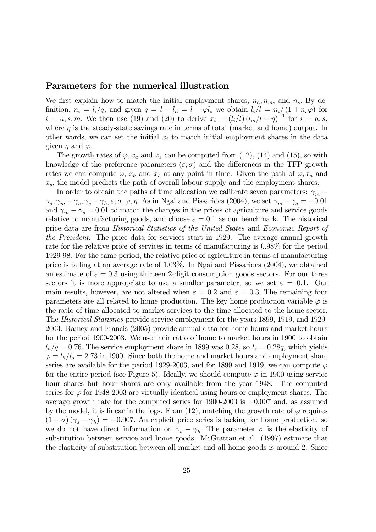### Parameters for the numerical illustration

We first explain how to match the initial employment shares,  $n_a, n_m$ , and  $n_s$ . By definition,  $n_i = l_i/q$ , and given  $q = l - l_h = l - \varphi l_s$  we obtain  $l_i/l = n_i/(1 + n_s\varphi)$  for  $i = a, s, m$ . We then use (19) and (20) to derive  $x_i = (l_i/l)(l_m/l - \eta)^{-1}$  for  $i = a, s,$ where  $\eta$  is the steady-state savings rate in terms of total (market and home) output. In other words, we can set the initial  $x_i$  to match initial employment shares in the data given  $\eta$  and  $\varphi$ .

The growth rates of  $\varphi$ ,  $x_a$  and  $x_s$  can be computed from (12), (14) and (15), so with knowledge of the preference parameters  $(\varepsilon, \sigma)$  and the differences in the TFP growth rates we can compute  $\varphi$ ,  $x_a$  and  $x_s$  at any point in time. Given the path of  $\varphi$ ,  $x_a$  and  $x<sub>s</sub>$ , the model predicts the path of overall labour supply and the employment shares.

In order to obtain the paths of time allocation we calibrate seven parameters:  $\gamma_m$  –  $\gamma_a, \gamma_m - \gamma_s, \gamma_s - \gamma_h, \varepsilon, \sigma, \varphi, \eta$ . As in Ngai and Pissarides (2004), we set  $\gamma_m - \gamma_a = -0.01$ and  $\gamma_m - \gamma_s = 0.01$  to match the changes in the prices of agriculture and service goods relative to manufacturing goods, and choose  $\varepsilon = 0.1$  as our benchmark. The historical price data are from Historical Statistics of the United States and Economic Report of the President. The price data for services start in 1929. The average annual growth rate for the relative price of services in terms of manufacturing is 0.98% for the period 1929-98. For the same period, the relative price of agriculture in terms of manufacturing price is falling at an average rate of 1.03%. In Ngai and Pissarides (2004), we obtained an estimate of  $\varepsilon = 0.3$  using thirteen 2-digit consumption goods sectors. For our three sectors it is more appropriate to use a smaller parameter, so we set  $\varepsilon = 0.1$ . Our main results, however, are not altered when  $\varepsilon = 0.2$  and  $\varepsilon = 0.3$ . The remaining four parameters are all related to home production. The key home production variable  $\varphi$  is the ratio of time allocated to market services to the time allocated to the home sector. The Historical Statistics provide service employment for the years 1899, 1919, and 1929- 2003. Ramey and Francis (2005) provide annual data for home hours and market hours for the period 1900-2003. We use their ratio of home to market hours in 1900 to obtain  $l_h/q = 0.76$ . The service employment share in 1899 was 0.28, so  $l_s = 0.28q$ , which yields  $\varphi = l_h/l_s = 2.73$  in 1900. Since both the home and market hours and employment share series are available for the period 1929-2003, and for 1899 and 1919, we can compute  $\varphi$ for the entire period (see Figure 5). Ideally, we should compute  $\varphi$  in 1900 using service hour shares but hour shares are only available from the year 1948. The computed series for  $\varphi$  for 1948-2003 are virtually identical using hours or employment shares. The average growth rate for the computed series for 1900-2003 is −0.007 and, as assumed by the model, it is linear in the logs. From (12), matching the growth rate of  $\varphi$  requires  $(1 - \sigma)(\gamma_s - \gamma_h) = -0.007$ . An explicit price series is lacking for home production, so we do not have direct information on  $\gamma_s - \gamma_h$ . The parameter  $\sigma$  is the elasticity of substitution between service and home goods. McGrattan et al. (1997) estimate that the elasticity of substitution between all market and all home goods is around 2. Since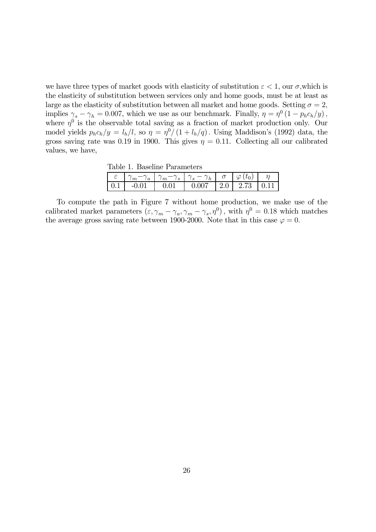we have three types of market goods with elasticity of substitution  $\varepsilon < 1$ , our  $\sigma$ , which is the elasticity of substitution between services only and home goods, must be at least as large as the elasticity of substitution between all market and home goods. Setting  $\sigma = 2$ , implies  $\gamma_s - \gamma_h = 0.007$ , which we use as our benchmark. Finally,  $\eta = \eta^0 (1 - p_h c_h / y)$ , where  $\eta^0$  is the observable total saving as a fraction of market production only. Our model yields  $p_h c_h/y = l_h/l$ , so  $\eta = \eta^0/(1 + l_h/q)$ . Using Maddison's (1992) data, the gross saving rate was 0.19 in 1900. This gives  $\eta = 0.11$ . Collecting all our calibrated values, we have,

Table 1. Baseline Parameters

|  | $\gamma_m - \gamma_a$   $\gamma_m - \gamma_s$   $\gamma_s - \gamma_h$   $\sigma$   $\varphi$ |  |  |
|--|----------------------------------------------------------------------------------------------|--|--|
|  | $\mid 0.1 \mid -0.01 \mid 0.01 \mid 0.007 \mid 2.0 \mid 2.73 \mid 0.11$                      |  |  |

To compute the path in Figure 7 without home production, we make use of the calibrated market parameters  $(\varepsilon, \gamma_m - \gamma_a, \gamma_m - \gamma_s, \eta^0)$ , with  $\eta^0 = 0.18$  which matches the average gross saving rate between 1900-2000. Note that in this case  $\varphi = 0$ .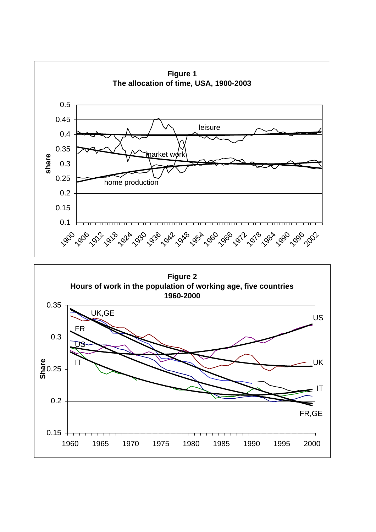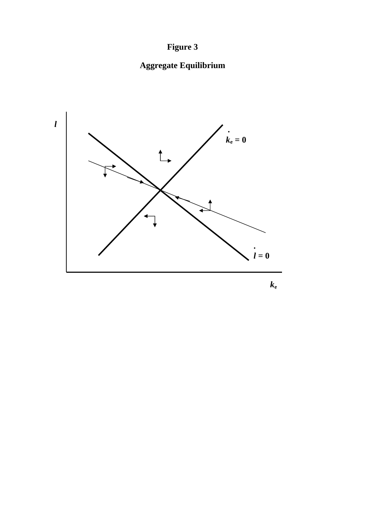# **Figure 3**

# **Aggregate Equilibrium**



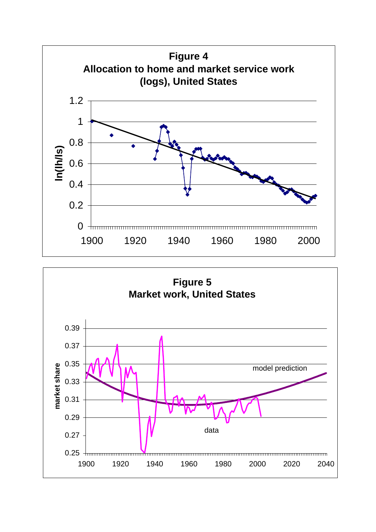